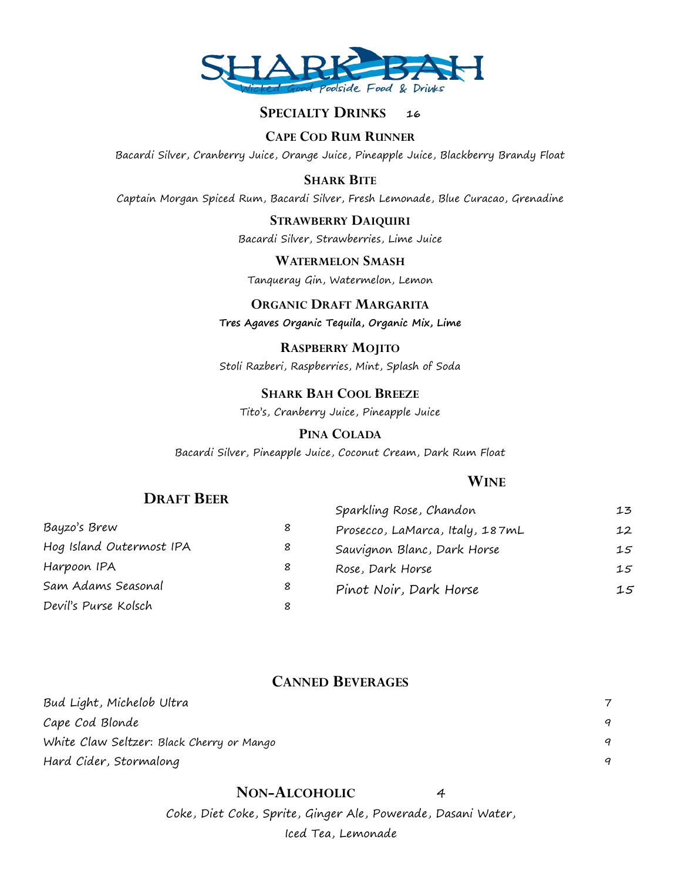

## **SPECIALTY DRINKS <sup>16</sup>**

**CAPE COD RUM RUNNER**

Bacardi Silver, Cranberry Juice, Orange Juice, Pineapple Juice, Blackberry Brandy Float

**SHARK BITE**

Captain Morgan Spiced Rum, Bacardi Silver, Fresh Lemonade, Blue Curacao, Grenadine

**STRAWBERRY DAIQUIRI**

Bacardi Silver, Strawberries, Lime Juice

**WATERMELON SMASH**

Tanqueray Gin, Watermelon, Lemon

### **ORGANIC DRAFT MARGARITA**

**Tres Agaves Organic Tequila, Organic Mix, Lime**

**RASPBERRY MOJITO**

Stoli Razberi, Raspberries, Mint, Splash of Soda

#### **SHARK BAH COOL BREEZE**

Tito's, Cranberry Juice, Pineapple Juice

#### **PINA COLADA**

Bacardi Silver, Pineapple Juice, Coconut Cream, Dark Rum Float

**DRAFT BEER**

#### **WINE**

| Sparkling Rose, Chandon         | 13 |
|---------------------------------|----|
| Prosecco, LaMarca, Italy, 187mL | 12 |
| Sauvignon Blanc, Dark Horse     | 15 |
| Rose, Dark Horse                | 15 |
| Pinot Noir, Dark Horse          | 15 |
|                                 |    |
|                                 |    |

### **CANNED BEVERAGES**

| Bud Light, Michelob Ultra                 |   |
|-------------------------------------------|---|
| Cape Cod Blonde                           | a |
| White Claw Seltzer: Black Cherry or Mango | a |
| Hard Cider, Stormalong                    | a |

#### **NON-ALCOHOLIC** <sup>4</sup>

Coke, Diet Coke, Sprite, Ginger Ale, Powerade, Dasani Water, Iced Tea, Lemonade